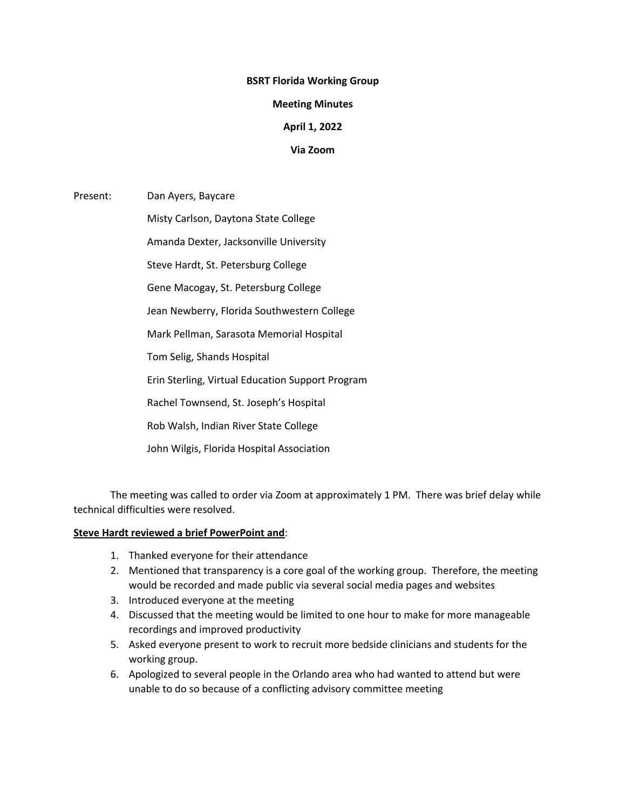#### **BSRT Florida Working Group**

#### **Meeting Minutes**

# **April 1, 2022**

### **Via Zoom**

Present: Dan Ayers, Baycare

Misty Carlson, Daytona State College

Amanda Dexter, Jacksonville University

Steve Hardt, St. Petersburg College

Gene Macogay, St. Petersburg College

Jean Newberry, Florida Southwestern College

Mark Pellman, Sarasota Memorial Hospital

Tom Selig, Shands Hospital

Erin Sterling, Virtual Education Support Program

Rachel Townsend, St. Joseph's Hospital

Rob Walsh, Indian River State College

John Wilgis, Florida Hospital Association

The meeting was called to order via Zoom at approximately 1 PM. There was brief delay while technical difficulties were resolved.

# **Steve Hardt reviewed a brief PowerPoint and**:

- 1. Thanked everyone for their attendance
- 2. Mentioned that transparency is a core goal of the working group. Therefore, the meeting would be recorded and made public via several social media pages and websites
- 3. Introduced everyone at the meeting
- 4. Discussed that the meeting would be limited to one hour to make for more manageable recordings and improved productivity
- 5. Asked everyone present to work to recruit more bedside clinicians and students for the working group.
- 6. Apologized to several people in the Orlando area who had wanted to attend but were unable to do so because of a conflicting advisory committee meeting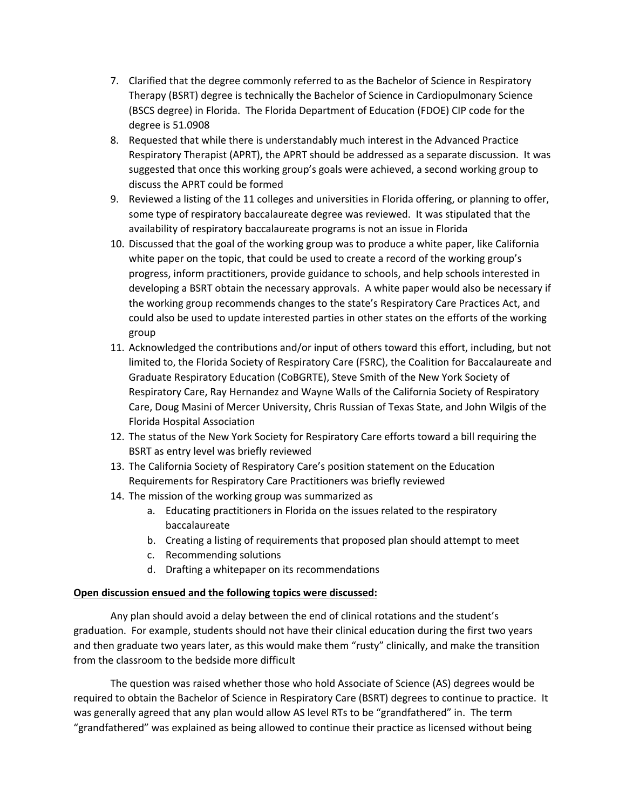- 7. Clarified that the degree commonly referred to as the Bachelor of Science in Respiratory Therapy (BSRT) degree is technically the Bachelor of Science in Cardiopulmonary Science (BSCS degree) in Florida. The Florida Department of Education (FDOE) CIP code for the degree is 51.0908
- 8. Requested that while there is understandably much interest in the Advanced Practice Respiratory Therapist (APRT), the APRT should be addressed as a separate discussion. It was suggested that once this working group's goals were achieved, a second working group to discuss the APRT could be formed
- 9. Reviewed a listing of the 11 colleges and universities in Florida offering, or planning to offer, some type of respiratory baccalaureate degree was reviewed. It was stipulated that the availability of respiratory baccalaureate programs is not an issue in Florida
- 10. Discussed that the goal of the working group was to produce a white paper, like California white paper on the topic, that could be used to create a record of the working group's progress, inform practitioners, provide guidance to schools, and help schools interested in developing a BSRT obtain the necessary approvals. A white paper would also be necessary if the working group recommends changes to the state's Respiratory Care Practices Act, and could also be used to update interested parties in other states on the efforts of the working group
- 11. Acknowledged the contributions and/or input of others toward this effort, including, but not limited to, the Florida Society of Respiratory Care (FSRC), the Coalition for Baccalaureate and Graduate Respiratory Education (CoBGRTE), Steve Smith of the New York Society of Respiratory Care, Ray Hernandez and Wayne Walls of the California Society of Respiratory Care, Doug Masini of Mercer University, Chris Russian of Texas State, and John Wilgis of the Florida Hospital Association
- 12. The status of the New York Society for Respiratory Care efforts toward a bill requiring the BSRT as entry level was briefly reviewed
- 13. The California Society of Respiratory Care's position statement on the Education Requirements for Respiratory Care Practitioners was briefly reviewed
- 14. The mission of the working group was summarized as
	- a. Educating practitioners in Florida on the issues related to the respiratory baccalaureate
	- b. Creating a listing of requirements that proposed plan should attempt to meet
	- c. Recommending solutions
	- d. Drafting a whitepaper on its recommendations

# **Open discussion ensued and the following topics were discussed:**

Any plan should avoid a delay between the end of clinical rotations and the student's graduation. For example, students should not have their clinical education during the first two years and then graduate two years later, as this would make them "rusty" clinically, and make the transition from the classroom to the bedside more difficult

The question was raised whether those who hold Associate of Science (AS) degrees would be required to obtain the Bachelor of Science in Respiratory Care (BSRT) degrees to continue to practice. It was generally agreed that any plan would allow AS level RTs to be "grandfathered" in. The term "grandfathered" was explained as being allowed to continue their practice as licensed without being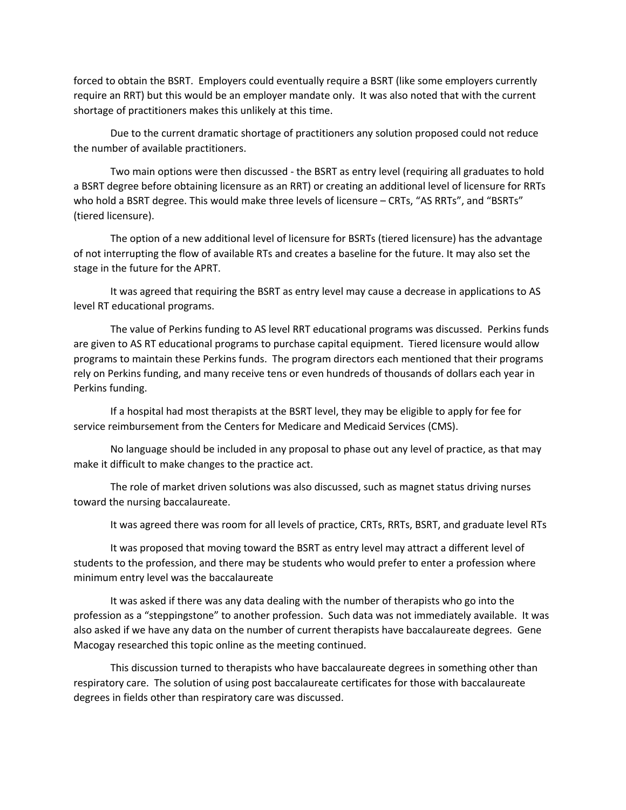forced to obtain the BSRT. Employers could eventually require a BSRT (like some employers currently require an RRT) but this would be an employer mandate only. It was also noted that with the current shortage of practitioners makes this unlikely at this time.

Due to the current dramatic shortage of practitioners any solution proposed could not reduce the number of available practitioners.

Two main options were then discussed - the BSRT as entry level (requiring all graduates to hold a BSRT degree before obtaining licensure as an RRT) or creating an additional level of licensure for RRTs who hold a BSRT degree. This would make three levels of licensure – CRTs, "AS RRTs", and "BSRTs" (tiered licensure).

The option of a new additional level of licensure for BSRTs (tiered licensure) has the advantage of not interrupting the flow of available RTs and creates a baseline for the future. It may also set the stage in the future for the APRT.

It was agreed that requiring the BSRT as entry level may cause a decrease in applications to AS level RT educational programs.

The value of Perkins funding to AS level RRT educational programs was discussed. Perkins funds are given to AS RT educational programs to purchase capital equipment. Tiered licensure would allow programs to maintain these Perkins funds. The program directors each mentioned that their programs rely on Perkins funding, and many receive tens or even hundreds of thousands of dollars each year in Perkins funding.

If a hospital had most therapists at the BSRT level, they may be eligible to apply for fee for service reimbursement from the Centers for Medicare and Medicaid Services (CMS).

No language should be included in any proposal to phase out any level of practice, as that may make it difficult to make changes to the practice act.

The role of market driven solutions was also discussed, such as magnet status driving nurses toward the nursing baccalaureate.

It was agreed there was room for all levels of practice, CRTs, RRTs, BSRT, and graduate level RTs

It was proposed that moving toward the BSRT as entry level may attract a different level of students to the profession, and there may be students who would prefer to enter a profession where minimum entry level was the baccalaureate

It was asked if there was any data dealing with the number of therapists who go into the profession as a "steppingstone" to another profession. Such data was not immediately available. It was also asked if we have any data on the number of current therapists have baccalaureate degrees. Gene Macogay researched this topic online as the meeting continued.

This discussion turned to therapists who have baccalaureate degrees in something other than respiratory care. The solution of using post baccalaureate certificates for those with baccalaureate degrees in fields other than respiratory care was discussed.